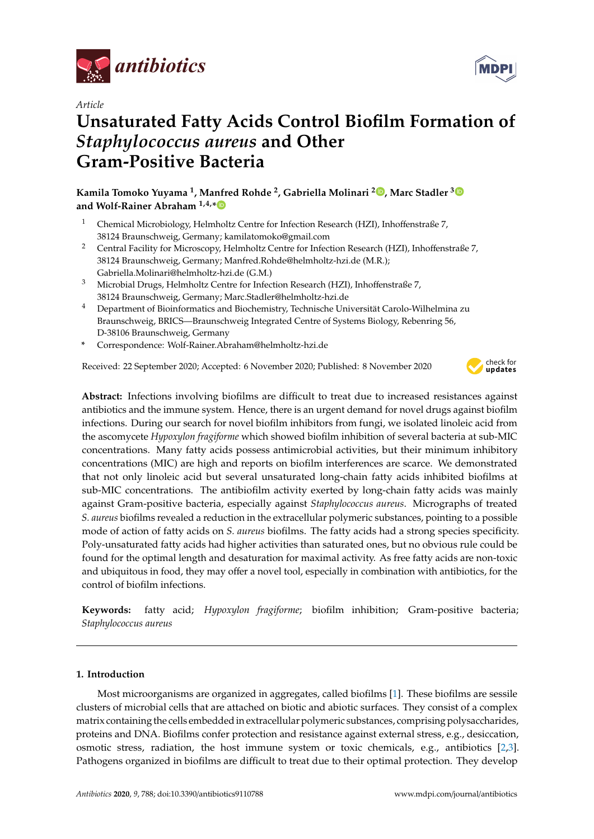

*Article*

# **Unsaturated Fatty Acids Control Biofilm Formation of** *Staphylococcus aureus* **and Other Gram-Positive Bacteria**

**Kamila Tomoko Yuyama <sup>1</sup> , Manfred Rohde <sup>2</sup> , Gabriella Molinari <sup>2</sup> [,](https://orcid.org/0000-0002-6781-1292) Marc Stadler [3](https://orcid.org/0000-0002-7284-8671) and Wolf-Rainer Abraham 1,4,[\\*](https://orcid.org/0000-0002-2850-2649)**

- <sup>1</sup> Chemical Microbiology, Helmholtz Centre for Infection Research (HZI), Inhoffenstraße 7, 38124 Braunschweig, Germany; kamilatomoko@gmail.com
- <sup>2</sup> Central Facility for Microscopy, Helmholtz Centre for Infection Research (HZI), Inhoffenstraße 7, 38124 Braunschweig, Germany; Manfred.Rohde@helmholtz-hzi.de (M.R.); Gabriella.Molinari@helmholtz-hzi.de (G.M.)
- <sup>3</sup> Microbial Drugs, Helmholtz Centre for Infection Research (HZI), Inhoffenstraße 7, 38124 Braunschweig, Germany; Marc.Stadler@helmholtz-hzi.de
- <sup>4</sup> Department of Bioinformatics and Biochemistry, Technische Universität Carolo-Wilhelmina zu Braunschweig, BRICS—Braunschweig Integrated Centre of Systems Biology, Rebenring 56, D-38106 Braunschweig, Germany
- **\*** Correspondence: Wolf-Rainer.Abraham@helmholtz-hzi.de

Received: 22 September 2020; Accepted: 6 November 2020; Published: 8 November 2020



**Abstract:** Infections involving biofilms are difficult to treat due to increased resistances against antibiotics and the immune system. Hence, there is an urgent demand for novel drugs against biofilm infections. During our search for novel biofilm inhibitors from fungi, we isolated linoleic acid from the ascomycete *Hypoxylon fragiforme* which showed biofilm inhibition of several bacteria at sub-MIC concentrations. Many fatty acids possess antimicrobial activities, but their minimum inhibitory concentrations (MIC) are high and reports on biofilm interferences are scarce. We demonstrated that not only linoleic acid but several unsaturated long-chain fatty acids inhibited biofilms at sub-MIC concentrations. The antibiofilm activity exerted by long-chain fatty acids was mainly against Gram-positive bacteria, especially against *Staphylococcus aureus*. Micrographs of treated *S. aureus* biofilms revealed a reduction in the extracellular polymeric substances, pointing to a possible mode of action of fatty acids on *S. aureus* biofilms. The fatty acids had a strong species specificity. Poly-unsaturated fatty acids had higher activities than saturated ones, but no obvious rule could be found for the optimal length and desaturation for maximal activity. As free fatty acids are non-toxic and ubiquitous in food, they may offer a novel tool, especially in combination with antibiotics, for the control of biofilm infections.

**Keywords:** fatty acid; *Hypoxylon fragiforme*; biofilm inhibition; Gram-positive bacteria; *Staphylococcus aureus*

# **1. Introduction**

Most microorganisms are organized in aggregates, called biofilms [\[1\]](#page-8-0). These biofilms are sessile clusters of microbial cells that are attached on biotic and abiotic surfaces. They consist of a complex matrix containing the cells embedded in extracellular polymeric substances, comprising polysaccharides, proteins and DNA. Biofilms confer protection and resistance against external stress, e.g., desiccation, osmotic stress, radiation, the host immune system or toxic chemicals, e.g., antibiotics [\[2,](#page-8-1)[3\]](#page-8-2). Pathogens organized in biofilms are difficult to treat due to their optimal protection. They develop

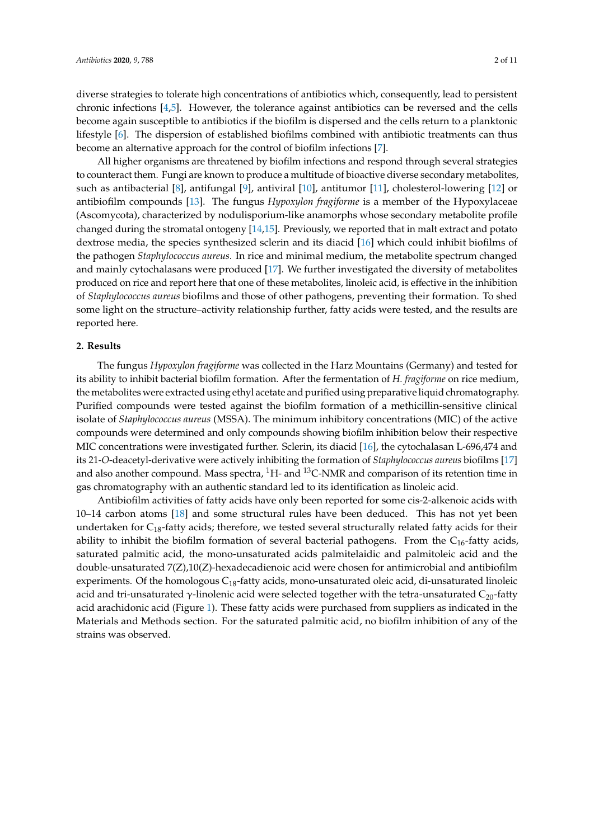diverse strategies to tolerate high concentrations of antibiotics which, consequently, lead to persistent chronic infections [\[4](#page-8-3)[,5\]](#page-8-4). However, the tolerance against antibiotics can be reversed and the cells become again susceptible to antibiotics if the biofilm is dispersed and the cells return to a planktonic lifestyle [\[6\]](#page-8-5). The dispersion of established biofilms combined with antibiotic treatments can thus become an alternative approach for the control of biofilm infections [\[7\]](#page-8-6).

All higher organisms are threatened by biofilm infections and respond through several strategies to counteract them. Fungi are known to produce a multitude of bioactive diverse secondary metabolites, such as antibacterial [\[8\]](#page-8-7), antifungal [\[9\]](#page-8-8), antiviral [\[10\]](#page-8-9), antitumor [\[11\]](#page-8-10), cholesterol-lowering [\[12\]](#page-8-11) or antibiofilm compounds [\[13\]](#page-8-12). The fungus *Hypoxylon fragiforme* is a member of the Hypoxylaceae (Ascomycota), characterized by nodulisporium-like anamorphs whose secondary metabolite profile changed during the stromatal ontogeny [\[14,](#page-8-13)[15\]](#page-8-14). Previously, we reported that in malt extract and potato dextrose media, the species synthesized sclerin and its diacid [\[16\]](#page-8-15) which could inhibit biofilms of the pathogen *Staphylococcus aureus.* In rice and minimal medium, the metabolite spectrum changed and mainly cytochalasans were produced [\[17\]](#page-8-16). We further investigated the diversity of metabolites produced on rice and report here that one of these metabolites, linoleic acid, is effective in the inhibition of *Staphylococcus aureus* biofilms and those of other pathogens, preventing their formation. To shed some light on the structure–activity relationship further, fatty acids were tested, and the results are reported here.

### **2. Results**

The fungus *Hypoxylon fragiforme* was collected in the Harz Mountains (Germany) and tested for its ability to inhibit bacterial biofilm formation. After the fermentation of *H. fragiforme* on rice medium, the metabolites were extracted using ethyl acetate and purified using preparative liquid chromatography. Purified compounds were tested against the biofilm formation of a methicillin-sensitive clinical isolate of *Staphylococcus aureus* (MSSA). The minimum inhibitory concentrations (MIC) of the active compounds were determined and only compounds showing biofilm inhibition below their respective MIC concentrations were investigated further. Sclerin, its diacid [\[16\]](#page-8-15), the cytochalasan L-696,474 and its 21-*O*-deacetyl-derivative were actively inhibiting the formation of *Staphylococcus aureus* biofilms [\[17\]](#page-8-16) and also another compound. Mass spectra,  ${}^{1}$ H- and  ${}^{13}$ C-NMR and comparison of its retention time in gas chromatography with an authentic standard led to its identification as linoleic acid.

Antibiofilm activities of fatty acids have only been reported for some cis-2-alkenoic acids with 10–14 carbon atoms [\[18\]](#page-8-17) and some structural rules have been deduced. This has not yet been undertaken for  $C_{18}$ -fatty acids; therefore, we tested several structurally related fatty acids for their ability to inhibit the biofilm formation of several bacterial pathogens. From the  $C_{16}$ -fatty acids, saturated palmitic acid, the mono-unsaturated acids palmitelaidic and palmitoleic acid and the double-unsaturated 7(Z),10(Z)-hexadecadienoic acid were chosen for antimicrobial and antibiofilm experiments. Of the homologous  $C_{18}$ -fatty acids, mono-unsaturated oleic acid, di-unsaturated linoleic acid and tri-unsaturated γ-linolenic acid were selected together with the tetra-unsaturated  $C_{20}$ -fatty acid arachidonic acid (Figure [1\)](#page-2-0). These fatty acids were purchased from suppliers as indicated in the Materials and Methods section. For the saturated palmitic acid, no biofilm inhibition of any of the strains was observed.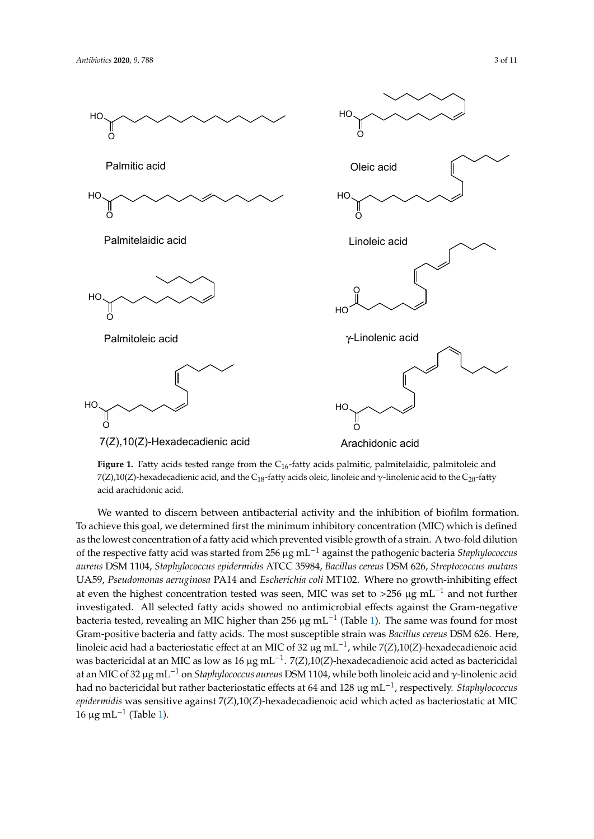<span id="page-2-0"></span>

Figure 1. Fatty acids tested range from the C<sub>16</sub>-fatty acids palmitic, palmitelaidic, palmitoleic and 7(Z),10(Z)-hexadecadienic acid, and the C<sub>18</sub>-fatty acids oleic, linoleic and γ-linolenic acid to the C<sub>20</sub>-fatty acid arachidonic acid.

We wanted to discern between antibacterial activity and the inhibition of biofilm formation. To achieve this goal, we determined first the minimum inhibitory concentration (MIC) which is defined as the lowest concentration of a fatty acid which prevented visible growth of a strain. A two-fold dilution sub-MIC concentrations. *S. mutans* was here the most resistant species, where only of the respective fatty acid was started from 256 µg mL−<sup>1</sup> against the pathogenic bacteria *Staphylococcus* aureus DSM 1104, Staphylococcus epidermidis ATCC 35984, Bacillus cereus DSM 626, Streptococcus mutans UA59, Pseudomonas aeruginosa PA14 and *Escherichia coli* MT102. Where no growth-inhibiting effect at even the highest concentration tested was seen, MIC was set to >256 µg mL<sup>-1</sup> and not further investigated. All selected fatty acids showed no antimicrobial effects against the Gram-negative bacteria tested, revealing an MIC higher than 256 µg mL<sup>-1</sup> (Table 1). The same was found for most Gram-positive bacteria and fatty acids. The most susceptible strain was *Bacillus cereus* DSM 626. Here, linoleic acid had a bacteriostatic effect at an MIC of 32 µg mL<sup>−1</sup>, while 7(*Z*),10(*Z*)-hexadecadienoic acid was bactericidal at an MIC as low as 16 µg mL−<sup>1</sup> . 7(*Z*),10(*Z*)-hexadecadienoic acid acted as bactericidal at an MIC of 32 µg mL−<sup>1</sup> on *Staphylococcus aureus* DSM 1104, while both linoleic acid and γ-linolenic acid had no bactericidal but rather bacteriostatic effects at 64 and 128 µg mL−<sup>1</sup> , respectively. *Staphylococcus epidermidis* was sensitive against 7(*Z*),10(*Z*)-hexadecadienoic acid which acted as bacteriostatic at MIC 16 μg mL<sup>-1</sup> (Table [1\)](#page-3-0).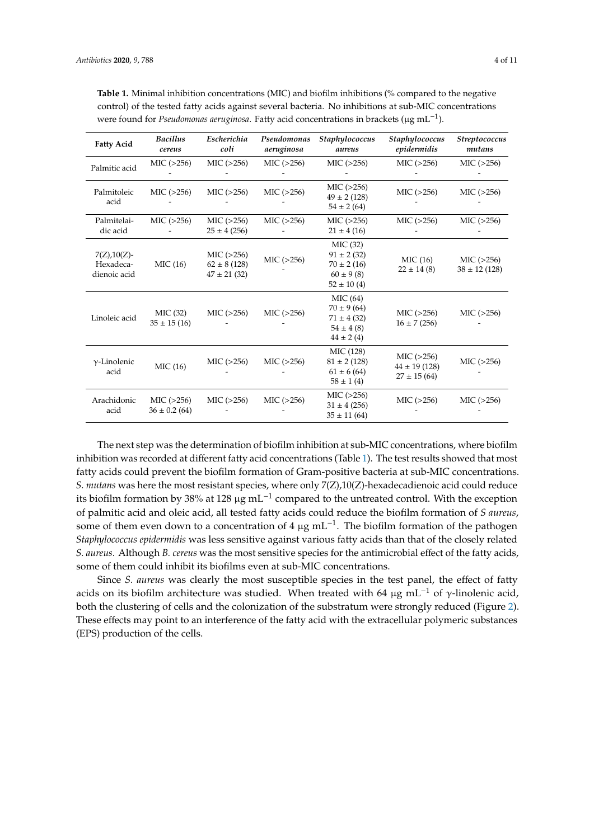| <b>Fatty Acid</b>                            | <b>Bacillus</b><br>cereus        | Escherichia<br>coli                                | Pseudomonas<br>aeruginosa | Staphylococcus<br>aureus                                                        | Staphylococcus<br>epidermidis                      | <b>Streptococcus</b><br>mutans   |
|----------------------------------------------|----------------------------------|----------------------------------------------------|---------------------------|---------------------------------------------------------------------------------|----------------------------------------------------|----------------------------------|
| Palmitic acid                                | MIC ( >256)                      | MIC ( >256)                                        | MIC ( >256)               | MIC ( >256)                                                                     | MIC ( >256)                                        | MIC ( >256)                      |
| Palmitoleic<br>acid                          | MIC ( >256)                      | MIC ( >256)                                        | MIC (>256)                | MIC ( >256)<br>$49 \pm 2(128)$<br>$54 \pm 2(64)$                                | MIC ( >256)                                        | MIC ( >256)                      |
| Palmitelai-<br>dic acid                      | MIC ( >256)                      | MIC ( >256)<br>$25 \pm 4(256)$                     | MIC ( >256)               | MIC(>256)<br>$21 \pm 4(16)$                                                     | MIC ( >256)                                        | MIC ( >256)                      |
| $7(Z), 10(Z)$ -<br>Hexadeca-<br>dienoic acid | MIC (16)                         | MIC ( >256)<br>$62 \pm 8(128)$<br>$47 \pm 21$ (32) | MIC ( >256)               | MIC (32)<br>$91 \pm 2(32)$<br>$70 \pm 2(16)$<br>$60 \pm 9(8)$<br>$52 \pm 10(4)$ | MIC(16)<br>$22 \pm 14(8)$                          | MIC ( >256)<br>$38 \pm 12$ (128) |
| Linoleic acid                                | MIC (32)<br>$35 \pm 15(16)$      | MIC ( >256)                                        | MIC ( >256)               | MIC(64)<br>$70 \pm 9(64)$<br>$71 \pm 4(32)$<br>$54 \pm 4(8)$<br>$44 \pm 2(4)$   | MIC ( >256)<br>$16 \pm 7(256)$                     | MIC ( >256)                      |
| $\gamma$ -Linolenic<br>acid                  | MIC(16)                          | MIC ( >256)                                        | MIC ( >256)               | MIC (128)<br>$81 \pm 2(128)$<br>$61 \pm 6$ (64)<br>$58 \pm 1(4)$                | MIC ( >256)<br>$44 \pm 19(128)$<br>$27 \pm 15(64)$ | MIC( >256)                       |
| Arachidonic<br>acid                          | MIC ( >256)<br>$36 \pm 0.2$ (64) | MIC ( >256)                                        | MIC ( >256)               | MIC ( >256)<br>$31 \pm 4$ (256)<br>$35 \pm 11(64)$                              | MIC ( >256)                                        | MIC ( >256)                      |

<span id="page-3-0"></span>**Table 1.** Minimal inhibition concentrations (MIC) and biofilm inhibitions (% compared to the negative control) of the tested fatty acids against several bacteria. No inhibitions at sub-MIC concentrations were found for *Pseudomonas aeruginosa*. Fatty acid concentrations in brackets (μg mL<sup>-1</sup>).

The next step was the determination of biofilm inhibition at sub-MIC concentrations, where biofilm inhibition was recorded at different fatty acid concentrations (Table [1\)](#page-3-0). The test results showed that most fatty acids could prevent the biofilm formation of Gram-positive bacteria at sub-MIC concentrations. *S. mutans* was here the most resistant species, where only 7(Z),10(Z)-hexadecadienoic acid could reduce its biofilm formation by 38% at 128 µg mL−<sup>1</sup> compared to the untreated control. With the exception of palmitic acid and oleic acid, all tested fatty acids could reduce the biofilm formation of *S aureus*, some of them even down to a concentration of 4  $\mu$ g mL<sup>-1</sup>. The biofilm formation of the pathogen *Staphylococcus epidermidis* was less sensitive against various fatty acids than that of the closely related *S. aureus*. Although *B. cereus* was the most sensitive species for the antimicrobial effect of the fatty acids, some of them could inhibit its biofilms even at sub-MIC concentrations.

Since *S. aureus* was clearly the most susceptible species in the test panel, the effect of fatty acids on its biofilm architecture was studied. When treated with 64  $\mu$ g mL<sup>-1</sup> of γ-linolenic acid, both the clustering of cells and the colonization of the substratum were strongly reduced (Figure [2\)](#page-4-0). These effects may point to an interference of the fatty acid with the extracellular polymeric substances (EPS) production of the cells.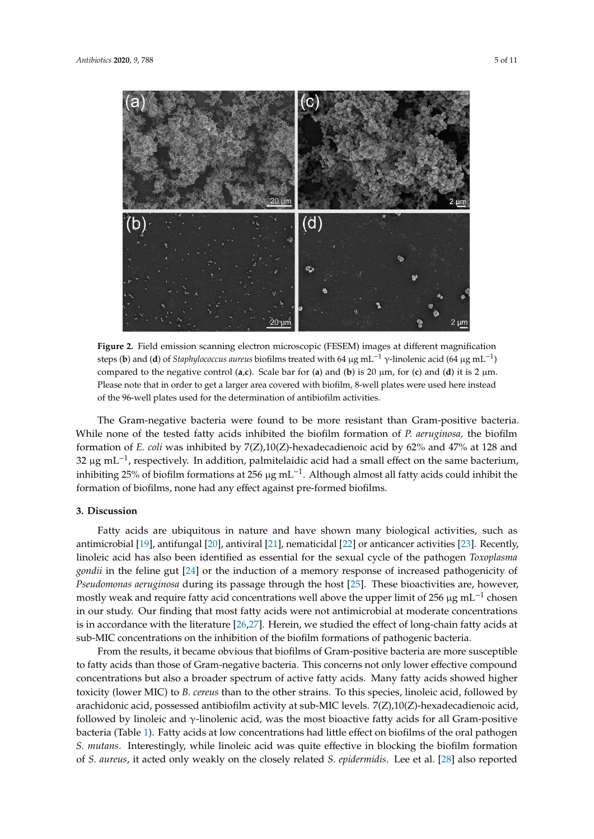<span id="page-4-0"></span>

**Figure 2.** Field emission scanning electron microscopic (FESEM) images at different magnification steps (**b**) and (**d**) of *Staphylococcus aureus* biofilms treated with 64 µg mL−<sup>1</sup> γ-linolenic acid (64 µg mL−<sup>1</sup> ) compared to the negative control  $(a, c)$ . Scale bar for  $(a)$  and  $(b)$  is 20  $\mu$ m, for  $(c)$  and  $(d)$  it is 2  $\mu$ m. Please note that in order to get a larger area covered with biofilm, 8-well plates were used here instead of the 96-well plates used for the determination of antibiofilm activities.

The Gram-negative bacteria were found to be more resistant than Gram-positive bacteria. While none of the tested fatty acids inhibited the biofilm formation of *P. aeruginosa,* the biofilm formation of *E. coli* was inhibited by 7(Z),10(Z)-hexadecadienoic acid by 62% and 47% at 128 and 32 µg mL<sup>-1</sup>, respectively. In addition, palmitelaidic acid had a small effect on the same bacterium, inhibiting 25% of biofilm formations at 256 µg mL−<sup>1</sup> . Although almost all fatty acids could inhibit the formation of biofilms, none had any effect against pre-formed biofilms.

## **3. Discussion**

Fatty acids are ubiquitous in nature and have shown many biological activities, such as antimicrobial [\[19\]](#page-8-18), antifungal [\[20\]](#page-9-0), antiviral [\[21\]](#page-9-1), nematicidal [\[22\]](#page-9-2) or anticancer activities [\[23\]](#page-9-3). Recently, linoleic acid has also been identified as essential for the sexual cycle of the pathogen *Toxoplasma gondii* in the feline gut [\[24\]](#page-9-4) or the induction of a memory response of increased pathogenicity of *Pseudomonas aeruginosa* during its passage through the host [\[25\]](#page-9-5). These bioactivities are, however, mostly weak and require fatty acid concentrations well above the upper limit of 256 µg mL<sup>-1</sup> chosen in our study. Our finding that most fatty acids were not antimicrobial at moderate concentrations is in accordance with the literature [\[26,](#page-9-6)[27\]](#page-9-7). Herein, we studied the effect of long-chain fatty acids at sub-MIC concentrations on the inhibition of the biofilm formations of pathogenic bacteria.

From the results, it became obvious that biofilms of Gram-positive bacteria are more susceptible to fatty acids than those of Gram-negative bacteria. This concerns not only lower effective compound concentrations but also a broader spectrum of active fatty acids. Many fatty acids showed higher toxicity (lower MIC) to *B. cereus* than to the other strains. To this species, linoleic acid, followed by arachidonic acid, possessed antibiofilm activity at sub-MIC levels. 7(Z),10(Z)-hexadecadienoic acid, followed by linoleic and γ-linolenic acid, was the most bioactive fatty acids for all Gram-positive bacteria (Table [1\)](#page-3-0). Fatty acids at low concentrations had little effect on biofilms of the oral pathogen *S. mutans*. Interestingly, while linoleic acid was quite effective in blocking the biofilm formation of *S. aureus*, it acted only weakly on the closely related *S. epidermidis*. Lee et al. [\[28\]](#page-9-8) also reported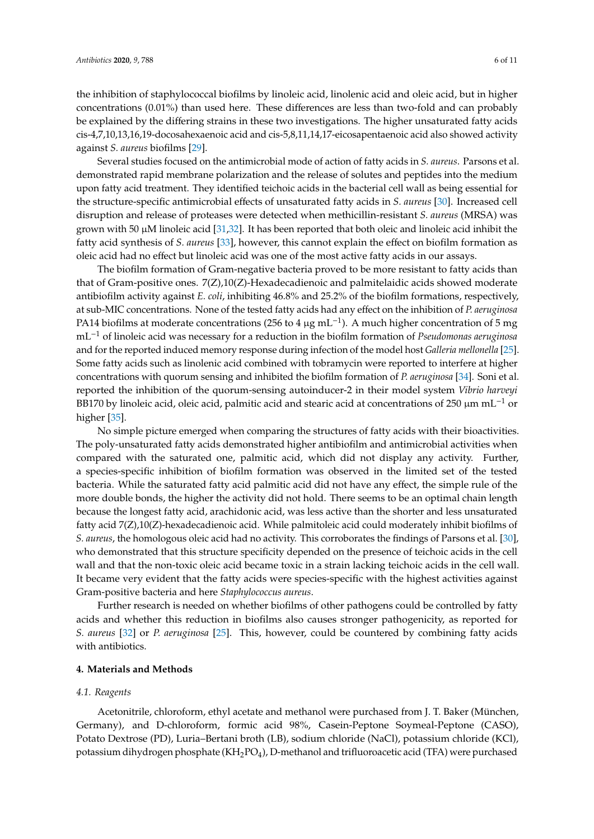the inhibition of staphylococcal biofilms by linoleic acid, linolenic acid and oleic acid, but in higher concentrations (0.01%) than used here. These differences are less than two-fold and can probably be explained by the differing strains in these two investigations. The higher unsaturated fatty acids cis-4,7,10,13,16,19-docosahexaenoic acid and cis-5,8,11,14,17-eicosapentaenoic acid also showed activity against *S. aureus* biofilms [\[29\]](#page-9-9).

Several studies focused on the antimicrobial mode of action of fatty acids in *S. aureus*. Parsons et al. demonstrated rapid membrane polarization and the release of solutes and peptides into the medium upon fatty acid treatment. They identified teichoic acids in the bacterial cell wall as being essential for the structure-specific antimicrobial effects of unsaturated fatty acids in *S. aureus* [\[30\]](#page-9-10). Increased cell disruption and release of proteases were detected when methicillin-resistant *S. aureus* (MRSA) was grown with 50  $\mu$ M linoleic acid [\[31](#page-9-11)[,32\]](#page-9-12). It has been reported that both oleic and linoleic acid inhibit the fatty acid synthesis of *S. aureus* [\[33\]](#page-9-13), however, this cannot explain the effect on biofilm formation as oleic acid had no effect but linoleic acid was one of the most active fatty acids in our assays.

The biofilm formation of Gram-negative bacteria proved to be more resistant to fatty acids than that of Gram-positive ones. 7(Z),10(Z)-Hexadecadienoic and palmitelaidic acids showed moderate antibiofilm activity against *E. coli*, inhibiting 46.8% and 25.2% of the biofilm formations, respectively, at sub-MIC concentrations. None of the tested fatty acids had any effect on the inhibition of *P. aeruginosa* PA14 biofilms at moderate concentrations (256 to 4 µg mL<sup>-1</sup>). A much higher concentration of 5 mg mL−<sup>1</sup> of linoleic acid was necessary for a reduction in the biofilm formation of *Pseudomonas aeruginosa* and for the reported induced memory response during infection of the model host *Galleria mellonella* [\[25\]](#page-9-5). Some fatty acids such as linolenic acid combined with tobramycin were reported to interfere at higher concentrations with quorum sensing and inhibited the biofilm formation of *P. aeruginosa* [\[34\]](#page-9-14). Soni et al. reported the inhibition of the quorum-sensing autoinducer-2 in their model system *Vibrio harveyi* BB170 by linoleic acid, oleic acid, palmitic acid and stearic acid at concentrations of 250  $\mu$ m mL<sup>-1</sup> or higher [\[35\]](#page-9-15).

No simple picture emerged when comparing the structures of fatty acids with their bioactivities. The poly-unsaturated fatty acids demonstrated higher antibiofilm and antimicrobial activities when compared with the saturated one, palmitic acid, which did not display any activity. Further, a species-specific inhibition of biofilm formation was observed in the limited set of the tested bacteria. While the saturated fatty acid palmitic acid did not have any effect, the simple rule of the more double bonds, the higher the activity did not hold. There seems to be an optimal chain length because the longest fatty acid, arachidonic acid, was less active than the shorter and less unsaturated fatty acid 7(Z),10(Z)-hexadecadienoic acid. While palmitoleic acid could moderately inhibit biofilms of *S. aureus*, the homologous oleic acid had no activity. This corroborates the findings of Parsons et al. [\[30\]](#page-9-10), who demonstrated that this structure specificity depended on the presence of teichoic acids in the cell wall and that the non-toxic oleic acid became toxic in a strain lacking teichoic acids in the cell wall. It became very evident that the fatty acids were species-specific with the highest activities against Gram-positive bacteria and here *Staphylococcus aureus*.

Further research is needed on whether biofilms of other pathogens could be controlled by fatty acids and whether this reduction in biofilms also causes stronger pathogenicity, as reported for *S. aureus* [\[32\]](#page-9-12) or *P. aeruginosa* [\[25\]](#page-9-5). This, however, could be countered by combining fatty acids with antibiotics.

# **4. Materials and Methods**

#### *4.1. Reagents*

Acetonitrile, chloroform, ethyl acetate and methanol were purchased from J. T. Baker (München, Germany), and D-chloroform, formic acid 98%, Casein-Peptone Soymeal-Peptone (CASO), Potato Dextrose (PD), Luria–Bertani broth (LB), sodium chloride (NaCl), potassium chloride (KCl), potassium dihydrogen phosphate (KH2PO4), D-methanol and trifluoroacetic acid (TFA) were purchased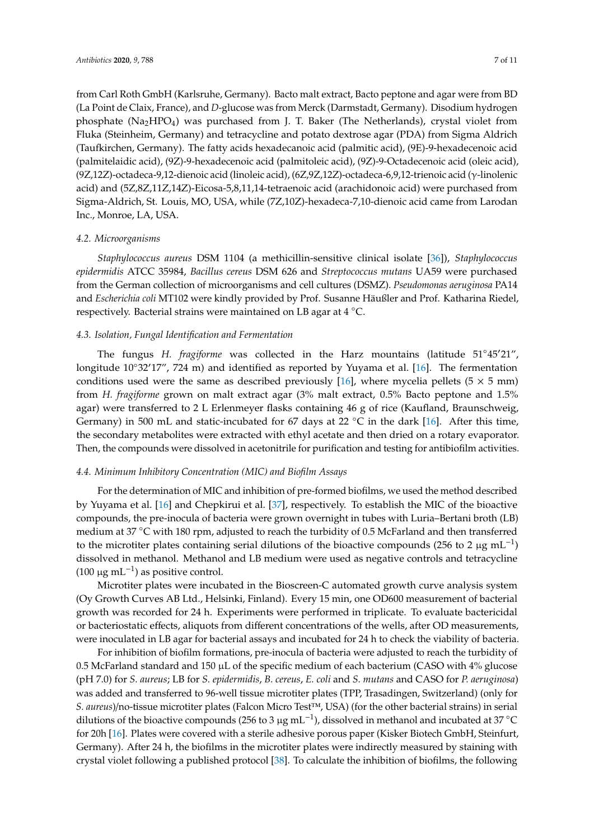from Carl Roth GmbH (Karlsruhe, Germany). Bacto malt extract, Bacto peptone and agar were from BD (La Point de Claix, France), and *D*-glucose was from Merck (Darmstadt, Germany). Disodium hydrogen phosphate  $(Na<sub>2</sub>HPO<sub>4</sub>)$  was purchased from J. T. Baker (The Netherlands), crystal violet from Fluka (Steinheim, Germany) and tetracycline and potato dextrose agar (PDA) from Sigma Aldrich (Taufkirchen, Germany). The fatty acids hexadecanoic acid (palmitic acid), (9E)-9-hexadecenoic acid (palmitelaidic acid), (9Z)-9-hexadecenoic acid (palmitoleic acid), (9Z)-9-Octadecenoic acid (oleic acid), (9Z,12Z)-octadeca-9,12-dienoic acid (linoleic acid), (6Z,9Z,12Z)-octadeca-6,9,12-trienoic acid (γ-linolenic acid) and (5Z,8Z,11Z,14Z)-Eicosa-5,8,11,14-tetraenoic acid (arachidonoic acid) were purchased from Sigma-Aldrich, St. Louis, MO, USA, while (7Z,10Z)-hexadeca-7,10-dienoic acid came from Larodan Inc., Monroe, LA, USA.

#### *4.2. Microorganisms*

*Staphylococcus aureus* DSM 1104 (a methicillin-sensitive clinical isolate [\[36\]](#page-9-16)), *Staphylococcus epidermidis* ATCC 35984, *Bacillus cereus* DSM 626 and *Streptococcus mutans* UA59 were purchased from the German collection of microorganisms and cell cultures (DSMZ). *Pseudomonas aeruginosa* PA14 and *Escherichia coli* MT102 were kindly provided by Prof. Susanne Häußler and Prof. Katharina Riedel, respectively. Bacterial strains were maintained on LB agar at 4 ◦C.

## *4.3. Isolation, Fungal Identification and Fermentation*

The fungus *H. fragiforme* was collected in the Harz mountains (latitude 51°45'21", longitude  $10°32'17''$ , 724 m) and identified as reported by Yuyama et al. [\[16\]](#page-8-15). The fermentation conditions used were the same as described previously [\[16\]](#page-8-15), where mycelia pellets ( $5 \times 5$  mm) from *H. fragiforme* grown on malt extract agar (3% malt extract, 0.5% Bacto peptone and 1.5% agar) were transferred to 2 L Erlenmeyer flasks containing 46 g of rice (Kaufland, Braunschweig, Germany) in 500 mL and static-incubated for 67 days at 22  $^{\circ}$ C in the dark [\[16\]](#page-8-15). After this time, the secondary metabolites were extracted with ethyl acetate and then dried on a rotary evaporator. Then, the compounds were dissolved in acetonitrile for purification and testing for antibiofilm activities.

#### *4.4. Minimum Inhibitory Concentration (MIC) and Biofilm Assays*

For the determination of MIC and inhibition of pre-formed biofilms, we used the method described by Yuyama et al. [\[16\]](#page-8-15) and Chepkirui et al. [\[37\]](#page-9-17), respectively. To establish the MIC of the bioactive compounds, the pre-inocula of bacteria were grown overnight in tubes with Luria–Bertani broth (LB) medium at 37 °C with 180 rpm, adjusted to reach the turbidity of 0.5 McFarland and then transferred to the microtiter plates containing serial dilutions of the bioactive compounds (256 to 2 µg mL<sup>-1</sup>) dissolved in methanol. Methanol and LB medium were used as negative controls and tetracycline (100 μg mL<sup>-1</sup>) as positive control.

Microtiter plates were incubated in the Bioscreen-C automated growth curve analysis system (Oy Growth Curves AB Ltd., Helsinki, Finland). Every 15 min, one OD600 measurement of bacterial growth was recorded for 24 h. Experiments were performed in triplicate. To evaluate bactericidal or bacteriostatic effects, aliquots from different concentrations of the wells, after OD measurements, were inoculated in LB agar for bacterial assays and incubated for 24 h to check the viability of bacteria.

For inhibition of biofilm formations, pre-inocula of bacteria were adjusted to reach the turbidity of 0.5 McFarland standard and 150  $\mu$ L of the specific medium of each bacterium (CASO with 4% glucose (pH 7.0) for *S. aureus*; LB for *S. epidermidis*, *B. cereus*, *E. coli* and *S. mutans* and CASO for *P. aeruginosa*) was added and transferred to 96-well tissue microtiter plates (TPP, Trasadingen, Switzerland) (only for *S. aureus*)/no-tissue microtiter plates (Falcon Micro Test™, USA) (for the other bacterial strains) in serial dilutions of the bioactive compounds (256 to 3 µg mL−<sup>1</sup> ), dissolved in methanol and incubated at 37 ◦<sup>C</sup> for 20h [\[16\]](#page-8-15). Plates were covered with a sterile adhesive porous paper (Kisker Biotech GmbH, Steinfurt, Germany). After 24 h, the biofilms in the microtiter plates were indirectly measured by staining with crystal violet following a published protocol [\[38\]](#page-9-18). To calculate the inhibition of biofilms, the following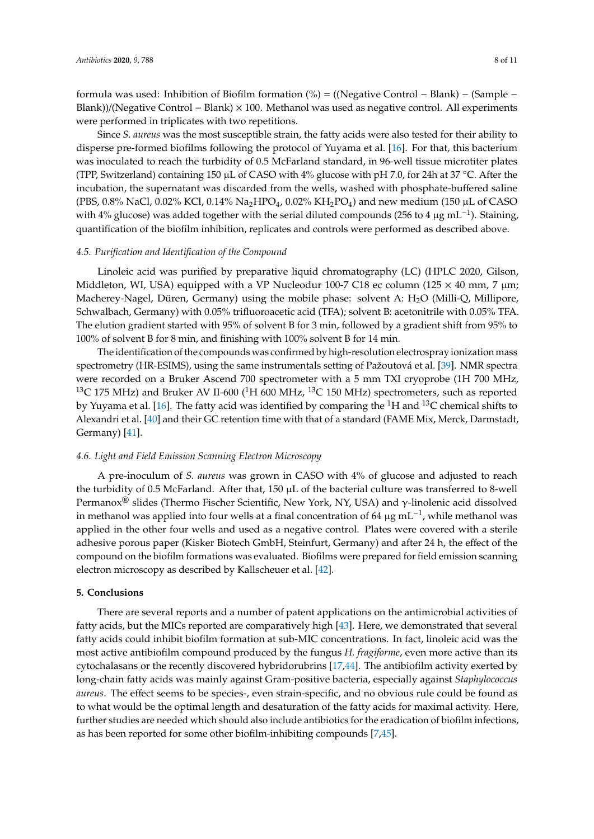formula was used: Inhibition of Biofilm formation (%) = ((Negative Control − Blank) − (Sample − Blank))/(Negative Control − Blank) × 100. Methanol was used as negative control. All experiments were performed in triplicates with two repetitions.

Since *S. aureus* was the most susceptible strain, the fatty acids were also tested for their ability to disperse pre-formed biofilms following the protocol of Yuyama et al. [\[16\]](#page-8-15). For that, this bacterium was inoculated to reach the turbidity of 0.5 McFarland standard, in 96-well tissue microtiter plates (TPP, Switzerland) containing 150 µL of CASO with 4% glucose with pH 7.0, for 24h at 37 °C. After the incubation, the supernatant was discarded from the wells, washed with phosphate-buffered saline (PBS, 0.8% NaCl, 0.02% KCl, 0.14% Na<sub>2</sub>HPO<sub>4</sub>, 0.02% KH<sub>2</sub>PO<sub>4</sub>) and new medium (150 µL of CASO with 4% glucose) was added together with the serial diluted compounds (256 to 4  $\mu$ g mL<sup>-1</sup>). Staining, quantification of the biofilm inhibition, replicates and controls were performed as described above.

# *4.5. Purification and Identification of the Compound*

Linoleic acid was purified by preparative liquid chromatography (LC) (HPLC 2020, Gilson, Middleton, WI, USA) equipped with a VP Nucleodur 100-7 C18 ec column (125  $\times$  40 mm, 7  $\mu$ m; Macherey-Nagel, Düren, Germany) using the mobile phase: solvent A: H<sub>2</sub>O (Milli-Q, Millipore, Schwalbach, Germany) with 0.05% trifluoroacetic acid (TFA); solvent B: acetonitrile with 0.05% TFA. The elution gradient started with 95% of solvent B for 3 min, followed by a gradient shift from 95% to 100% of solvent B for 8 min, and finishing with 100% solvent B for 14 min.

The identification of the compounds was confirmed by high-resolution electrospray ionization mass spectrometry (HR-ESIMS), using the same instrumentals setting of Pažoutová et al. [\[39\]](#page-9-19). NMR spectra were recorded on a Bruker Ascend 700 spectrometer with a 5 mm TXI cryoprobe (1H 700 MHz, <sup>13</sup>C 175 MHz) and Bruker AV II-600 (<sup>1</sup>H 600 MHz, <sup>13</sup>C 150 MHz) spectrometers, such as reported by Yuyama et al. [\[16\]](#page-8-15). The fatty acid was identified by comparing the  ${}^{1}$ H and  ${}^{13}$ C chemical shifts to Alexandri et al. [\[40\]](#page-9-20) and their GC retention time with that of a standard (FAME Mix, Merck, Darmstadt, Germany) [\[41\]](#page-10-0).

#### *4.6. Light and Field Emission Scanning Electron Microscopy*

A pre-inoculum of *S. aureus* was grown in CASO with 4% of glucose and adjusted to reach the turbidity of 0.5 McFarland. After that, 150 µL of the bacterial culture was transferred to 8-well Permanox<sup>®</sup> slides (Thermo Fischer Scientific, New York, NY, USA) and  $\gamma$ -linolenic acid dissolved in methanol was applied into four wells at a final concentration of 64 µg mL<sup>-1</sup>, while methanol was applied in the other four wells and used as a negative control. Plates were covered with a sterile adhesive porous paper (Kisker Biotech GmbH, Steinfurt, Germany) and after 24 h, the effect of the compound on the biofilm formations was evaluated. Biofilms were prepared for field emission scanning electron microscopy as described by Kallscheuer et al. [\[42\]](#page-10-1).

## **5. Conclusions**

There are several reports and a number of patent applications on the antimicrobial activities of fatty acids, but the MICs reported are comparatively high [\[43\]](#page-10-2). Here, we demonstrated that several fatty acids could inhibit biofilm formation at sub-MIC concentrations. In fact, linoleic acid was the most active antibiofilm compound produced by the fungus *H. fragiforme*, even more active than its cytochalasans or the recently discovered hybridorubrins [\[17](#page-8-16)[,44\]](#page-10-3). The antibiofilm activity exerted by long-chain fatty acids was mainly against Gram-positive bacteria, especially against *Staphylococcus aureus*. The effect seems to be species-, even strain-specific, and no obvious rule could be found as to what would be the optimal length and desaturation of the fatty acids for maximal activity. Here, further studies are needed which should also include antibiotics for the eradication of biofilm infections, as has been reported for some other biofilm-inhibiting compounds [\[7](#page-8-6)[,45\]](#page-10-4).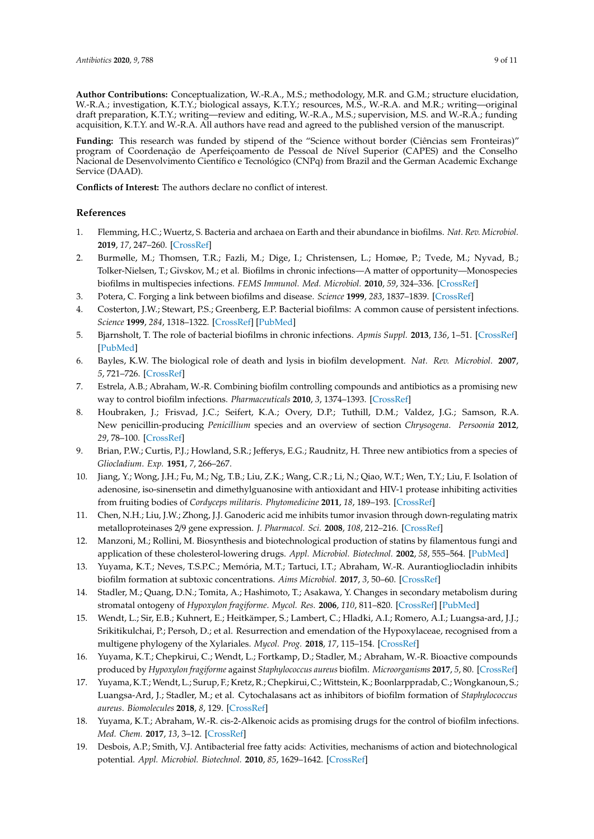**Author Contributions:** Conceptualization, W.-R.A., M.S.; methodology, M.R. and G.M.; structure elucidation, W.-R.A.; investigation, K.T.Y.; biological assays, K.T.Y.; resources, M.S., W.-R.A. and M.R.; writing—original draft preparation, K.T.Y.; writing—review and editing, W.-R.A., M.S.; supervision, M.S. and W.-R.A.; funding acquisition, K.T.Y. and W.-R.A. All authors have read and agreed to the published version of the manuscript.

Funding: This research was funded by stipend of the "Science without border (Ciências sem Fronteiras)" program of Coordenação de Aperfeiçoamento de Pessoal de Nível Superior (CAPES) and the Conselho Nacional de Desenvolvimento Científico e Tecnológico (CNPq) from Brazil and the German Academic Exchange Service (DAAD).

**Conflicts of Interest:** The authors declare no conflict of interest.

# **References**

- <span id="page-8-0"></span>1. Flemming, H.C.; Wuertz, S. Bacteria and archaea on Earth and their abundance in biofilms. *Nat. Rev. Microbiol.* **2019**, *17*, 247–260. [\[CrossRef\]](http://dx.doi.org/10.1038/s41579-019-0158-9)
- <span id="page-8-1"></span>2. Burmølle, M.; Thomsen, T.R.; Fazli, M.; Dige, I.; Christensen, L.; Homøe, P.; Tvede, M.; Nyvad, B.; Tolker-Nielsen, T.; Givskov, M.; et al. Biofilms in chronic infections—A matter of opportunity—Monospecies biofilms in multispecies infections. *FEMS Immunol. Med. Microbiol.* **2010**, *59*, 324–336. [\[CrossRef\]](http://dx.doi.org/10.1111/j.1574-695X.2010.00714.x)
- <span id="page-8-2"></span>3. Potera, C. Forging a link between biofilms and disease. *Science* **1999**, *283*, 1837–1839. [\[CrossRef\]](http://dx.doi.org/10.1126/science.283.5409.1837)
- <span id="page-8-3"></span>4. Costerton, J.W.; Stewart, P.S.; Greenberg, E.P. Bacterial biofilms: A common cause of persistent infections. *Science* **1999**, *284*, 1318–1322. [\[CrossRef\]](http://dx.doi.org/10.1126/science.284.5418.1318) [\[PubMed\]](http://www.ncbi.nlm.nih.gov/pubmed/10334980)
- <span id="page-8-4"></span>5. Bjarnsholt, T. The role of bacterial biofilms in chronic infections. *Apmis Suppl.* **2013**, *136*, 1–51. [\[CrossRef\]](http://dx.doi.org/10.1111/apm.12099) [\[PubMed\]](http://www.ncbi.nlm.nih.gov/pubmed/23635385)
- <span id="page-8-5"></span>6. Bayles, K.W. The biological role of death and lysis in biofilm development. *Nat. Rev. Microbiol.* **2007**, *5*, 721–726. [\[CrossRef\]](http://dx.doi.org/10.1038/nrmicro1743)
- <span id="page-8-6"></span>7. Estrela, A.B.; Abraham, W.-R. Combining biofilm controlling compounds and antibiotics as a promising new way to control biofilm infections. *Pharmaceuticals* **2010**, *3*, 1374–1393. [\[CrossRef\]](http://dx.doi.org/10.3390/ph3051374)
- <span id="page-8-7"></span>8. Houbraken, J.; Frisvad, J.C.; Seifert, K.A.; Overy, D.P.; Tuthill, D.M.; Valdez, J.G.; Samson, R.A. New penicillin-producing *Penicillium* species and an overview of section *Chrysogena*. *Persoonia* **2012**, *29*, 78–100. [\[CrossRef\]](http://dx.doi.org/10.3767/003158512X660571)
- <span id="page-8-8"></span>9. Brian, P.W.; Curtis, P.J.; Howland, S.R.; Jefferys, E.G.; Raudnitz, H. Three new antibiotics from a species of *Gliocladium*. *Exp.* **1951**, *7*, 266–267.
- <span id="page-8-9"></span>10. Jiang, Y.; Wong, J.H.; Fu, M.; Ng, T.B.; Liu, Z.K.; Wang, C.R.; Li, N.; Qiao, W.T.; Wen, T.Y.; Liu, F. Isolation of adenosine, iso-sinensetin and dimethylguanosine with antioxidant and HIV-1 protease inhibiting activities from fruiting bodies of *Cordyceps militaris*. *Phytomedicine* **2011**, *18*, 189–193. [\[CrossRef\]](http://dx.doi.org/10.1016/j.phymed.2010.04.010)
- <span id="page-8-10"></span>11. Chen, N.H.; Liu, J.W.; Zhong, J.J. Ganoderic acid me inhibits tumor invasion through down-regulating matrix metalloproteinases 2/9 gene expression. *J. Pharmacol. Sci.* **2008**, *108*, 212–216. [\[CrossRef\]](http://dx.doi.org/10.1254/jphs.SC0080019)
- <span id="page-8-11"></span>12. Manzoni, M.; Rollini, M. Biosynthesis and biotechnological production of statins by filamentous fungi and application of these cholesterol-lowering drugs. *Appl. Microbiol. Biotechnol.* **2002**, *58*, 555–564. [\[PubMed\]](http://www.ncbi.nlm.nih.gov/pubmed/11956737)
- <span id="page-8-12"></span>13. Yuyama, K.T.; Neves, T.S.P.C.; Memória, M.T.; Tartuci, I.T.; Abraham, W.-R. Aurantiogliocladin inhibits biofilm formation at subtoxic concentrations. *Aims Microbiol.* **2017**, *3*, 50–60. [\[CrossRef\]](http://dx.doi.org/10.3934/microbiol.2017.1.50)
- <span id="page-8-13"></span>14. Stadler, M.; Quang, D.N.; Tomita, A.; Hashimoto, T.; Asakawa, Y. Changes in secondary metabolism during stromatal ontogeny of *Hypoxylon fragiforme*. *Mycol. Res.* **2006**, *110*, 811–820. [\[CrossRef\]](http://dx.doi.org/10.1016/j.mycres.2006.03.013) [\[PubMed\]](http://www.ncbi.nlm.nih.gov/pubmed/16876700)
- <span id="page-8-14"></span>15. Wendt, L.; Sir, E.B.; Kuhnert, E.; Heitkämper, S.; Lambert, C.; Hladki, A.I.; Romero, A.I.; Luangsa-ard, J.J.; Srikitikulchai, P.; Persoh, D.; et al. Resurrection and emendation of the Hypoxylaceae, recognised from a multigene phylogeny of the Xylariales. *Mycol. Prog.* **2018**, *17*, 115–154. [\[CrossRef\]](http://dx.doi.org/10.1007/s11557-017-1311-3)
- <span id="page-8-15"></span>16. Yuyama, K.T.; Chepkirui, C.; Wendt, L.; Fortkamp, D.; Stadler, M.; Abraham, W.-R. Bioactive compounds produced by *Hypoxylon fragiforme* against *Staphylococcus aureus* biofilm. *Microorganisms* **2017**, *5*, 80. [\[CrossRef\]](http://dx.doi.org/10.3390/microorganisms5040080)
- <span id="page-8-16"></span>17. Yuyama, K.T.; Wendt, L.; Surup, F.; Kretz, R.; Chepkirui, C.; Wittstein, K.; Boonlarppradab, C.; Wongkanoun, S.; Luangsa-Ard, J.; Stadler, M.; et al. Cytochalasans act as inhibitors of biofilm formation of *Staphylococcus aureus*. *Biomolecules* **2018**, *8*, 129. [\[CrossRef\]](http://dx.doi.org/10.3390/biom8040129)
- <span id="page-8-17"></span>18. Yuyama, K.T.; Abraham, W.-R. cis-2-Alkenoic acids as promising drugs for the control of biofilm infections. *Med. Chem.* **2017**, *13*, 3–12. [\[CrossRef\]](http://dx.doi.org/10.2174/1573406412666160506151032)
- <span id="page-8-18"></span>19. Desbois, A.P.; Smith, V.J. Antibacterial free fatty acids: Activities, mechanisms of action and biotechnological potential. *Appl. Microbiol. Biotechnol.* **2010**, *85*, 1629–1642. [\[CrossRef\]](http://dx.doi.org/10.1007/s00253-009-2355-3)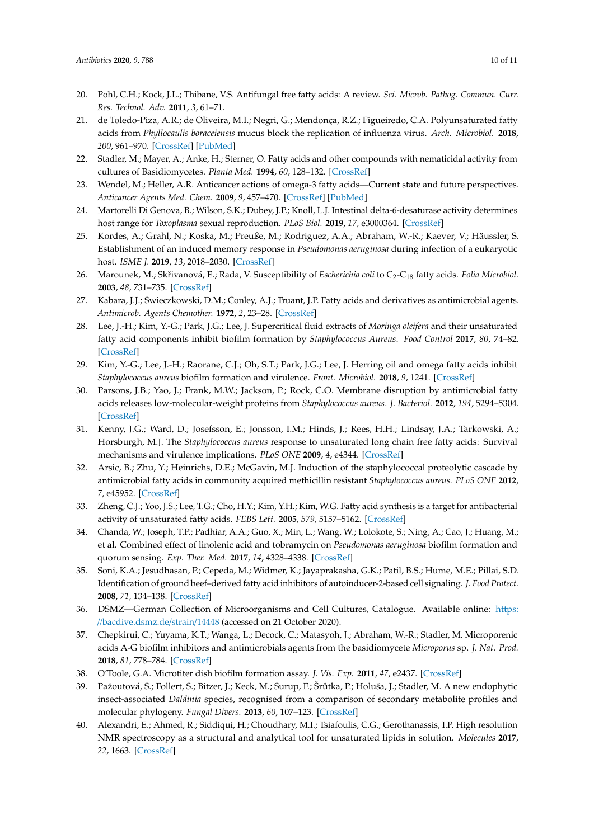- <span id="page-9-0"></span>20. Pohl, C.H.; Kock, J.L.; Thibane, V.S. Antifungal free fatty acids: A review. *Sci. Microb. Pathog. Commun. Curr. Res. Technol. Adv.* **2011**, *3*, 61–71.
- <span id="page-9-1"></span>21. de Toledo-Piza, A.R.; de Oliveira, M.I.; Negri, G.; Mendonça, R.Z.; Figueiredo, C.A. Polyunsaturated fatty acids from *Phyllocaulis boraceiensis* mucus block the replication of influenza virus. *Arch. Microbiol.* **2018**, *200*, 961–970. [\[CrossRef\]](http://dx.doi.org/10.1007/s00203-018-1507-1) [\[PubMed\]](http://www.ncbi.nlm.nih.gov/pubmed/29616305)
- <span id="page-9-2"></span>22. Stadler, M.; Mayer, A.; Anke, H.; Sterner, O. Fatty acids and other compounds with nematicidal activity from cultures of Basidiomycetes. *Planta Med.* **1994**, *60*, 128–132. [\[CrossRef\]](http://dx.doi.org/10.1055/s-2006-959433)
- <span id="page-9-3"></span>23. Wendel, M.; Heller, A.R. Anticancer actions of omega-3 fatty acids—Current state and future perspectives. *Anticancer Agents Med. Chem.* **2009**, *9*, 457–470. [\[CrossRef\]](http://dx.doi.org/10.2174/1871520610909040457) [\[PubMed\]](http://www.ncbi.nlm.nih.gov/pubmed/19442044)
- <span id="page-9-4"></span>24. Martorelli Di Genova, B.; Wilson, S.K.; Dubey, J.P.; Knoll, L.J. Intestinal delta-6-desaturase activity determines host range for *Toxoplasma* sexual reproduction. *PLoS Biol.* **2019**, *17*, e3000364. [\[CrossRef\]](http://dx.doi.org/10.1371/journal.pbio.3000364)
- <span id="page-9-5"></span>25. Kordes, A.; Grahl, N.; Koska, M.; Preuße, M.; Rodriguez, A.A.; Abraham, W.-R.; Kaever, V.; Häussler, S. Establishment of an induced memory response in *Pseudomonas aeruginosa* during infection of a eukaryotic host. *ISME J.* **2019**, *13*, 2018–2030. [\[CrossRef\]](http://dx.doi.org/10.1038/s41396-019-0412-1)
- <span id="page-9-6"></span>26. Marounek, M.; Skřivanová, E.; Rada, V. Susceptibility of *Escherichia coli* to C<sub>2</sub>-C<sub>18</sub> fatty acids. *Folia Microbiol*. **2003**, *48*, 731–735. [\[CrossRef\]](http://dx.doi.org/10.1007/BF02931506)
- <span id="page-9-7"></span>27. Kabara, J.J.; Swieczkowski, D.M.; Conley, A.J.; Truant, J.P. Fatty acids and derivatives as antimicrobial agents. *Antimicrob. Agents Chemother.* **1972**, *2*, 23–28. [\[CrossRef\]](http://dx.doi.org/10.1128/AAC.2.1.23)
- <span id="page-9-8"></span>28. Lee, J.-H.; Kim, Y.-G.; Park, J.G.; Lee, J. Supercritical fluid extracts of *Moringa oleifera* and their unsaturated fatty acid components inhibit biofilm formation by *Staphylococcus Aureus*. *Food Control* **2017**, *80*, 74–82. [\[CrossRef\]](http://dx.doi.org/10.1016/j.foodcont.2017.04.035)
- <span id="page-9-9"></span>29. Kim, Y.-G.; Lee, J.-H.; Raorane, C.J.; Oh, S.T.; Park, J.G.; Lee, J. Herring oil and omega fatty acids inhibit *Staphylococcus aureus* biofilm formation and virulence. *Front. Microbiol.* **2018**, *9*, 1241. [\[CrossRef\]](http://dx.doi.org/10.3389/fmicb.2018.01241)
- <span id="page-9-10"></span>30. Parsons, J.B.; Yao, J.; Frank, M.W.; Jackson, P.; Rock, C.O. Membrane disruption by antimicrobial fatty acids releases low-molecular-weight proteins from *Staphylococcus aureus*. *J. Bacteriol.* **2012**, *194*, 5294–5304. [\[CrossRef\]](http://dx.doi.org/10.1128/JB.00743-12)
- <span id="page-9-11"></span>31. Kenny, J.G.; Ward, D.; Josefsson, E.; Jonsson, I.M.; Hinds, J.; Rees, H.H.; Lindsay, J.A.; Tarkowski, A.; Horsburgh, M.J. The *Staphylococcus aureus* response to unsaturated long chain free fatty acids: Survival mechanisms and virulence implications. *PLoS ONE* **2009**, *4*, e4344. [\[CrossRef\]](http://dx.doi.org/10.1371/journal.pone.0004344)
- <span id="page-9-12"></span>32. Arsic, B.; Zhu, Y.; Heinrichs, D.E.; McGavin, M.J. Induction of the staphylococcal proteolytic cascade by antimicrobial fatty acids in community acquired methicillin resistant *Staphylococcus aureus*. *PLoS ONE* **2012**, *7*, e45952. [\[CrossRef\]](http://dx.doi.org/10.1371/journal.pone.0045952)
- <span id="page-9-13"></span>33. Zheng, C.J.; Yoo, J.S.; Lee, T.G.; Cho, H.Y.; Kim, Y.H.; Kim, W.G. Fatty acid synthesis is a target for antibacterial activity of unsaturated fatty acids. *FEBS Lett.* **2005**, *579*, 5157–5162. [\[CrossRef\]](http://dx.doi.org/10.1016/j.febslet.2005.08.028)
- <span id="page-9-14"></span>34. Chanda, W.; Joseph, T.P.; Padhiar, A.A.; Guo, X.; Min, L.; Wang, W.; Lolokote, S.; Ning, A.; Cao, J.; Huang, M.; et al. Combined effect of linolenic acid and tobramycin on *Pseudomonas aeruginosa* biofilm formation and quorum sensing. *Exp. Ther. Med.* **2017**, *14*, 4328–4338. [\[CrossRef\]](http://dx.doi.org/10.3892/etm.2017.5110)
- <span id="page-9-15"></span>35. Soni, K.A.; Jesudhasan, P.; Cepeda, M.; Widmer, K.; Jayaprakasha, G.K.; Patil, B.S.; Hume, M.E.; Pillai, S.D. Identification of ground beef–derived fatty acid inhibitors of autoinducer-2-based cell signaling. *J. Food Protect.* **2008**, *71*, 134–138. [\[CrossRef\]](http://dx.doi.org/10.4315/0362-028X-71.1.134)
- <span id="page-9-16"></span>36. DSMZ—German Collection of Microorganisms and Cell Cultures, Catalogue. Available online: [https:](https://bacdive.dsmz.de/strain/14448) //[bacdive.dsmz.de](https://bacdive.dsmz.de/strain/14448)/strain/14448 (accessed on 21 October 2020).
- <span id="page-9-17"></span>37. Chepkirui, C.; Yuyama, K.T.; Wanga, L.; Decock, C.; Matasyoh, J.; Abraham, W.-R.; Stadler, M. Microporenic acids A-G biofilm inhibitors and antimicrobials agents from the basidiomycete *Microporus* sp. *J. Nat. Prod.* **2018**, *81*, 778–784. [\[CrossRef\]](http://dx.doi.org/10.1021/acs.jnatprod.7b00764)
- <span id="page-9-18"></span>38. O'Toole, G.A. Microtiter dish biofilm formation assay. *J. Vis. Exp.* **2011**, *47*, e2437. [\[CrossRef\]](http://dx.doi.org/10.3791/2437)
- <span id="page-9-19"></span>39. Pažoutová, S.; Follert, S.; Bitzer, J.; Keck, M.; Surup, F.; Šr ˚utka, P.; Holuša, J.; Stadler, M. A new endophytic insect-associated *Daldinia* species, recognised from a comparison of secondary metabolite profiles and molecular phylogeny. *Fungal Divers.* **2013**, *60*, 107–123. [\[CrossRef\]](http://dx.doi.org/10.1007/s13225-013-0238-5)
- <span id="page-9-20"></span>40. Alexandri, E.; Ahmed, R.; Siddiqui, H.; Choudhary, M.I.; Tsiafoulis, C.G.; Gerothanassis, I.P. High resolution NMR spectroscopy as a structural and analytical tool for unsaturated lipids in solution. *Molecules* **2017**, *22*, 1663. [\[CrossRef\]](http://dx.doi.org/10.3390/molecules22101663)